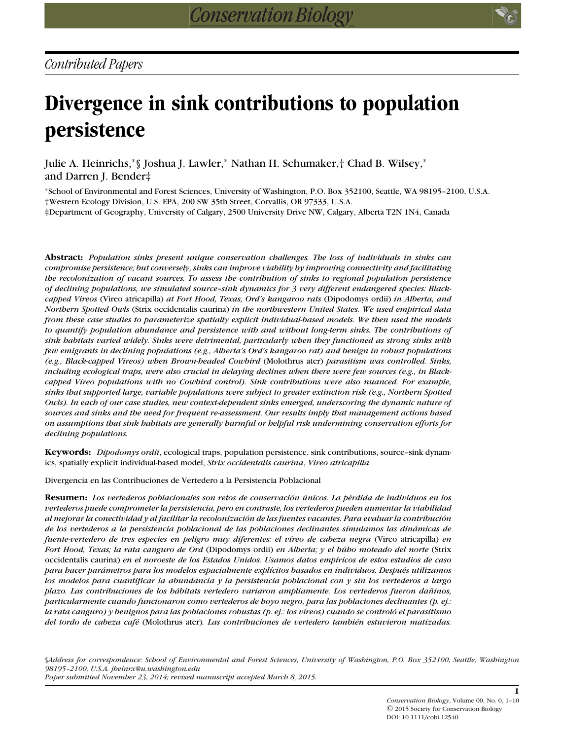# **Divergence in sink contributions to population persistence**

Julie A. Heinrichs,∗§ Joshua J. Lawler,<sup>∗</sup> Nathan H. Schumaker,† Chad B. Wilsey,<sup>∗</sup> and Darren J. Bender‡

<sup>∗</sup>School of Environmental and Forest Sciences, University of Washington, P.O. Box 352100, Seattle, WA 98195–2100, U.S.A. †Western Ecology Division, U.S. EPA, 200 SW 35th Street, Corvallis, OR 97333, U.S.A. ‡Department of Geography, University of Calgary, 2500 University Drive NW, Calgary, Alberta T2N 1N4, Canada

**Abstract:** *Population sinks present unique conservation challenges. The loss of individuals in sinks can compromise persistence; but conversely, sinks can improve viability by improving connectivity and facilitating the recolonization of vacant sources. To assess the contribution of sinks to regional population persistence of declining populations, we simulated source–sink dynamics for 3 very different endangered species: Blackcapped Vireos* (Vireo atricapilla) *at Fort Hood, Texas, Ord's kangaroo rats* (Dipodomys ordii) *in Alberta, and Northern Spotted Owls* (Strix occidentalis caurina) *in the northwestern United States. We used empirical data from these case studies to parameterize spatially explicit individual-based models. We then used the models to quantify population abundance and persistence with and without long-term sinks. The contributions of sink habitats varied widely. Sinks were detrimental, particularly when they functioned as strong sinks with few emigrants in declining populations (e.g., Alberta's Ord's kangaroo rat) and benign in robust populations (e.g., Black-capped Vireos) when Brown-headed Cowbird* (Molothrus ater) *parasitism was controlled. Sinks, including ecological traps, were also crucial in delaying declines when there were few sources (e.g., in Blackcapped Vireo populations with no Cowbird control). Sink contributions were also nuanced. For example, sinks that supported large, variable populations were subject to greater extinction risk (e.g., Northern Spotted Owls). In each of our case studies, new context-dependent sinks emerged, underscoring the dynamic nature of sources and sinks and the need for frequent re-assessment. Our results imply that management actions based on assumptions that sink habitats are generally harmful or helpful risk undermining conservation efforts for declining populations.*

**Keywords:** *Dipodomys ordii*, ecological traps, population persistence, sink contributions, source–sink dynamics, spatially explicit individual-based model, *Strix occidentalis caurina*, *Vireo atricapilla*

Divergencia en las Contribuciones de Vertedero a la Persistencia Poblacional

**Resumen:** *Los vertederos poblacionales son retos de conservacion´ unicos. La p ´ ´erdida de individuos en los vertederos puede comprometer la persistencia, pero en contraste, los vertederos pueden aumentar la viabilidad al mejorar la conectividad y al facilitar la recolonizacion de las fuentes vacantes. Para evaluar la contribuci ´ on´ de los vertederos a la persistencia poblacional de las poblaciones declinantes simulamos las dinamicas de ´ fuente-vertedero de tres especies en peligro muy diferentes: el v´ıreo de cabeza negra* (Vireo atricapilla) *en Fort Hood, Texas; la rata canguro de Ord* (Dipodomys ordii) *en Alberta; y el buho moteado del norte ´* (Strix occidentalis caurina) *en el noroeste de los Estados Unidos. Usamos datos emp´ıricos de estos estudios de caso para hacer parametros para los modelos espacialmente expl ´ ´ıcitos basados en individuos. Despu´es utilizamos los modelos para cuantificar la abundancia y la persistencia poblacional con y sin los vertederos a largo plazo. Las contribuciones de los hábitats vertedero variaron ampliamente. Los vertederos fueron dañinos, particularmente cuando funcionaron como vertederos de hoyo negro, para las poblaciones declinantes (p. ej.: la rata canguro) y benignos para las poblaciones robustas (p. ej.: los v´ıreos) cuando se controlo el parasitismo ´ del tordo de cabeza caf´e* (Molothrus ater)*. Las contribuciones de vertedero tambi´en estuvieron matizadas.*

§*Address for correspondence: School of Environmental and Forest Sciences, University of Washington, P.O. Box 352100, Seattle, Washington 98195–2100, U.S.A. jheinrx@u.washington.edu Paper submitted November 23, 2014; revised manuscript accepted March 8, 2015.*

> *Conservation Biology*, Volume 00, No. 0, 1–10 C 2015 Society for Conservation Biology DOI: 10.1111/cobi.12540

**1**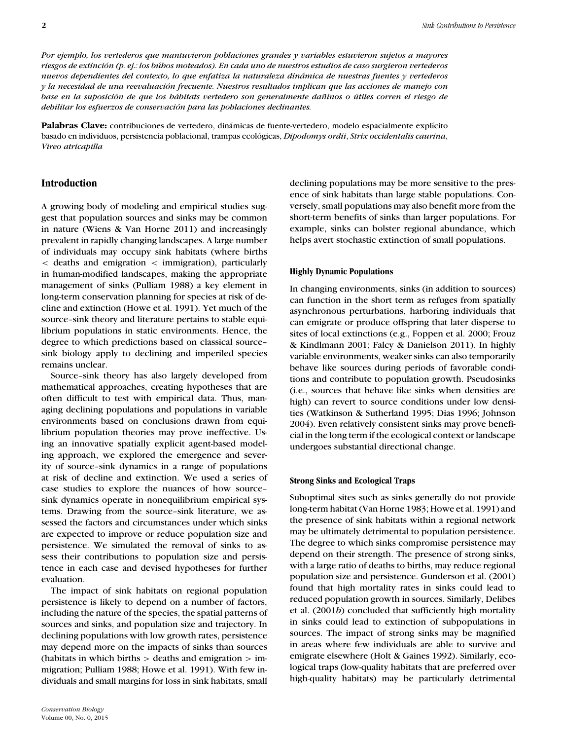*Por ejemplo, los vertederos que mantuvieron poblaciones grandes y variables estuvieron sujetos a mayores riesgos de extincion (p. ej.: los b ´ uhos moteados). En cada uno de nuestros estudios de caso surgieron vertederos ´ nuevos dependientes del contexto, lo que enfatiza la naturaleza dinamica de nuestras fuentes y vertederos ´ y la necesidad de una reevaluacion frecuente. Nuestros resultados implican que las acciones de manejo con ´ base en la suposicion de que los h ´ abitats vertedero son generalmente da ´ ninos o ˜ utiles corren el riesgo de ´ debilitar los esfuerzos de conservacion para las poblaciones declinantes. ´*

Palabras Clave: contribuciones de vertedero, dinámicas de fuente-vertedero, modelo espacialmente explícito basado en individuos, persistencia poblacional, trampas ecológicas, *Dipodomys ordii*, *Strix occidentalis caurina*, *Vireo atricapilla*

# **Introduction**

A growing body of modeling and empirical studies suggest that population sources and sinks may be common in nature (Wiens & Van Horne 2011) and increasingly prevalent in rapidly changing landscapes. A large number of individuals may occupy sink habitats (where births *<* deaths and emigration *<* immigration), particularly in human-modified landscapes, making the appropriate management of sinks (Pulliam 1988) a key element in long-term conservation planning for species at risk of decline and extinction (Howe et al. 1991). Yet much of the source–sink theory and literature pertains to stable equilibrium populations in static environments. Hence, the degree to which predictions based on classical source– sink biology apply to declining and imperiled species remains unclear.

Source–sink theory has also largely developed from mathematical approaches, creating hypotheses that are often difficult to test with empirical data. Thus, managing declining populations and populations in variable environments based on conclusions drawn from equilibrium population theories may prove ineffective. Using an innovative spatially explicit agent-based modeling approach, we explored the emergence and severity of source–sink dynamics in a range of populations at risk of decline and extinction. We used a series of case studies to explore the nuances of how source– sink dynamics operate in nonequilibrium empirical systems. Drawing from the source–sink literature, we assessed the factors and circumstances under which sinks are expected to improve or reduce population size and persistence. We simulated the removal of sinks to assess their contributions to population size and persistence in each case and devised hypotheses for further evaluation.

The impact of sink habitats on regional population persistence is likely to depend on a number of factors, including the nature of the species, the spatial patterns of sources and sinks, and population size and trajectory. In declining populations with low growth rates, persistence may depend more on the impacts of sinks than sources (habitats in which births *>* deaths and emigration *>* immigration; Pulliam 1988; Howe et al. 1991). With few individuals and small margins for loss in sink habitats, small

declining populations may be more sensitive to the presence of sink habitats than large stable populations. Conversely, small populations may also benefit more from the short-term benefits of sinks than larger populations. For example, sinks can bolster regional abundance, which helps avert stochastic extinction of small populations.

# **Highly Dynamic Populations**

In changing environments, sinks (in addition to sources) can function in the short term as refuges from spatially asynchronous perturbations, harboring individuals that can emigrate or produce offspring that later disperse to sites of local extinctions (e.g., Foppen et al. 2000; Frouz & Kindlmann 2001; Falcy & Danielson 2011). In highly variable environments, weaker sinks can also temporarily behave like sources during periods of favorable conditions and contribute to population growth. Pseudosinks (i.e., sources that behave like sinks when densities are high) can revert to source conditions under low densities (Watkinson & Sutherland 1995; Dias 1996; Johnson 2004). Even relatively consistent sinks may prove beneficial in the long term if the ecological context or landscape undergoes substantial directional change.

# **Strong Sinks and Ecological Traps**

Suboptimal sites such as sinks generally do not provide long-term habitat (Van Horne 1983; Howe et al. 1991) and the presence of sink habitats within a regional network may be ultimately detrimental to population persistence. The degree to which sinks compromise persistence may depend on their strength. The presence of strong sinks, with a large ratio of deaths to births, may reduce regional population size and persistence. Gunderson et al. (2001) found that high mortality rates in sinks could lead to reduced population growth in sources. Similarly, Delibes et al. (2001*b*) concluded that sufficiently high mortality in sinks could lead to extinction of subpopulations in sources. The impact of strong sinks may be magnified in areas where few individuals are able to survive and emigrate elsewhere (Holt & Gaines 1992). Similarly, ecological traps (low-quality habitats that are preferred over high-quality habitats) may be particularly detrimental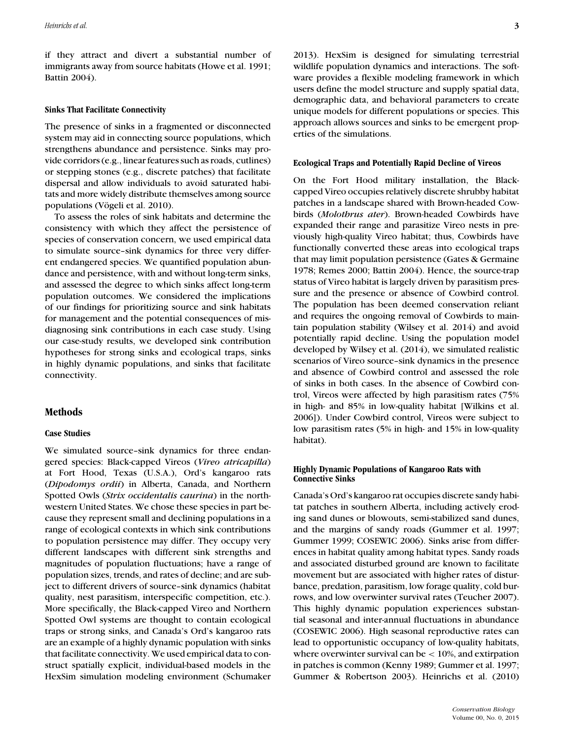if they attract and divert a substantial number of immigrants away from source habitats (Howe et al. 1991; Battin 2004).

#### **Sinks That Facilitate Connectivity**

The presence of sinks in a fragmented or disconnected system may aid in connecting source populations, which strengthens abundance and persistence. Sinks may provide corridors (e.g., linear features such as roads, cutlines) or stepping stones (e.g., discrete patches) that facilitate dispersal and allow individuals to avoid saturated habitats and more widely distribute themselves among source populations (Vögeli et al. 2010).

To assess the roles of sink habitats and determine the consistency with which they affect the persistence of species of conservation concern, we used empirical data to simulate source–sink dynamics for three very different endangered species. We quantified population abundance and persistence, with and without long-term sinks, and assessed the degree to which sinks affect long-term population outcomes. We considered the implications of our findings for prioritizing source and sink habitats for management and the potential consequences of misdiagnosing sink contributions in each case study. Using our case-study results, we developed sink contribution hypotheses for strong sinks and ecological traps, sinks in highly dynamic populations, and sinks that facilitate connectivity.

# **Methods**

#### **Case Studies**

We simulated source–sink dynamics for three endangered species: Black-capped Vireos (*Vireo atricapilla*) at Fort Hood, Texas (U.S.A.), Ord's kangaroo rats (*Dipodomys ordii*) in Alberta, Canada, and Northern Spotted Owls (*Strix occidentalis caurina*) in the northwestern United States. We chose these species in part because they represent small and declining populations in a range of ecological contexts in which sink contributions to population persistence may differ. They occupy very different landscapes with different sink strengths and magnitudes of population fluctuations; have a range of population sizes, trends, and rates of decline; and are subject to different drivers of source–sink dynamics (habitat quality, nest parasitism, interspecific competition, etc.). More specifically, the Black-capped Vireo and Northern Spotted Owl systems are thought to contain ecological traps or strong sinks, and Canada's Ord's kangaroo rats are an example of a highly dynamic population with sinks that facilitate connectivity. We used empirical data to construct spatially explicit, individual-based models in the HexSim simulation modeling environment (Schumaker 2013). HexSim is designed for simulating terrestrial wildlife population dynamics and interactions. The software provides a flexible modeling framework in which users define the model structure and supply spatial data, demographic data, and behavioral parameters to create unique models for different populations or species. This approach allows sources and sinks to be emergent properties of the simulations.

## **Ecological Traps and Potentially Rapid Decline of Vireos**

On the Fort Hood military installation, the Blackcapped Vireo occupies relatively discrete shrubby habitat patches in a landscape shared with Brown-headed Cowbirds (*Molothrus ater*). Brown-headed Cowbirds have expanded their range and parasitize Vireo nests in previously high-quality Vireo habitat; thus, Cowbirds have functionally converted these areas into ecological traps that may limit population persistence (Gates & Germaine 1978; Remes 2000; Battin 2004). Hence, the source-trap status of Vireo habitat is largely driven by parasitism pressure and the presence or absence of Cowbird control. The population has been deemed conservation reliant and requires the ongoing removal of Cowbirds to maintain population stability (Wilsey et al. 2014) and avoid potentially rapid decline. Using the population model developed by Wilsey et al. (2014), we simulated realistic scenarios of Vireo source–sink dynamics in the presence and absence of Cowbird control and assessed the role of sinks in both cases. In the absence of Cowbird control, Vireos were affected by high parasitism rates (75% in high- and 85% in low-quality habitat [Wilkins et al. 2006]). Under Cowbird control, Vireos were subject to low parasitism rates (5% in high- and 15% in low-quality habitat).

# **Highly Dynamic Populations of Kangaroo Rats with Connective Sinks**

Canada's Ord's kangaroo rat occupies discrete sandy habitat patches in southern Alberta, including actively eroding sand dunes or blowouts, semi-stabilized sand dunes, and the margins of sandy roads (Gummer et al. 1997; Gummer 1999; COSEWIC 2006). Sinks arise from differences in habitat quality among habitat types. Sandy roads and associated disturbed ground are known to facilitate movement but are associated with higher rates of disturbance, predation, parasitism, low forage quality, cold burrows, and low overwinter survival rates (Teucher 2007). This highly dynamic population experiences substantial seasonal and inter-annual fluctuations in abundance (COSEWIC 2006). High seasonal reproductive rates can lead to opportunistic occupancy of low-quality habitats, where overwinter survival can be *<* 10%, and extirpation in patches is common (Kenny 1989; Gummer et al. 1997; Gummer & Robertson 2003). Heinrichs et al. (2010)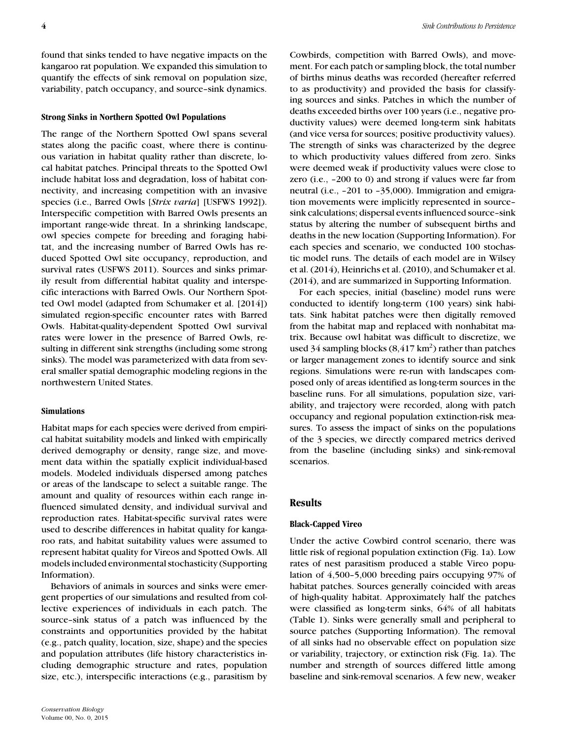found that sinks tended to have negative impacts on the kangaroo rat population. We expanded this simulation to quantify the effects of sink removal on population size, variability, patch occupancy, and source–sink dynamics.

#### **Strong Sinks in Northern Spotted Owl Populations**

The range of the Northern Spotted Owl spans several states along the pacific coast, where there is continuous variation in habitat quality rather than discrete, local habitat patches. Principal threats to the Spotted Owl include habitat loss and degradation, loss of habitat connectivity, and increasing competition with an invasive species (i.e., Barred Owls [*Strix varia*] [USFWS 1992]). Interspecific competition with Barred Owls presents an important range-wide threat. In a shrinking landscape, owl species compete for breeding and foraging habitat, and the increasing number of Barred Owls has reduced Spotted Owl site occupancy, reproduction, and survival rates (USFWS 2011). Sources and sinks primarily result from differential habitat quality and interspecific interactions with Barred Owls. Our Northern Spotted Owl model (adapted from Schumaker et al. [2014]) simulated region-specific encounter rates with Barred Owls. Habitat-quality-dependent Spotted Owl survival rates were lower in the presence of Barred Owls, resulting in different sink strengths (including some strong sinks). The model was parameterized with data from several smaller spatial demographic modeling regions in the northwestern United States.

#### **Simulations**

Habitat maps for each species were derived from empirical habitat suitability models and linked with empirically derived demography or density, range size, and movement data within the spatially explicit individual-based models. Modeled individuals dispersed among patches or areas of the landscape to select a suitable range. The amount and quality of resources within each range influenced simulated density, and individual survival and reproduction rates. Habitat-specific survival rates were used to describe differences in habitat quality for kangaroo rats, and habitat suitability values were assumed to represent habitat quality for Vireos and Spotted Owls. All models included environmental stochasticity (Supporting Information).

Behaviors of animals in sources and sinks were emergent properties of our simulations and resulted from collective experiences of individuals in each patch. The source–sink status of a patch was influenced by the constraints and opportunities provided by the habitat (e.g., patch quality, location, size, shape) and the species and population attributes (life history characteristics including demographic structure and rates, population size, etc.), interspecific interactions (e.g., parasitism by

Cowbirds, competition with Barred Owls), and movement. For each patch or sampling block, the total number of births minus deaths was recorded (hereafter referred to as productivity) and provided the basis for classifying sources and sinks. Patches in which the number of deaths exceeded births over 100 years (i.e., negative productivity values) were deemed long-term sink habitats (and vice versa for sources; positive productivity values). The strength of sinks was characterized by the degree to which productivity values differed from zero. Sinks were deemed weak if productivity values were close to zero (i.e., –200 to 0) and strong if values were far from neutral (i.e., –201 to –35,000). Immigration and emigration movements were implicitly represented in source– sink calculations; dispersal events influenced source–sink status by altering the number of subsequent births and deaths in the new location (Supporting Information). For each species and scenario, we conducted 100 stochastic model runs. The details of each model are in Wilsey et al. (2014), Heinrichs et al. (2010), and Schumaker et al. (2014), and are summarized in Supporting Information.

For each species, initial (baseline) model runs were conducted to identify long-term (100 years) sink habitats. Sink habitat patches were then digitally removed from the habitat map and replaced with nonhabitat matrix. Because owl habitat was difficult to discretize, we used 34 sampling blocks  $(8, 417 \text{ km}^2)$  rather than patches or larger management zones to identify source and sink regions. Simulations were re-run with landscapes composed only of areas identified as long-term sources in the baseline runs. For all simulations, population size, variability, and trajectory were recorded, along with patch occupancy and regional population extinction-risk measures. To assess the impact of sinks on the populations of the 3 species, we directly compared metrics derived from the baseline (including sinks) and sink-removal scenarios.

# **Results**

#### **Black-Capped Vireo**

Under the active Cowbird control scenario, there was little risk of regional population extinction (Fig. 1a). Low rates of nest parasitism produced a stable Vireo population of 4,500–5,000 breeding pairs occupying 97% of habitat patches. Sources generally coincided with areas of high-quality habitat. Approximately half the patches were classified as long-term sinks, 64% of all habitats (Table 1). Sinks were generally small and peripheral to source patches (Supporting Information). The removal of all sinks had no observable effect on population size or variability, trajectory, or extinction risk (Fig. 1a). The number and strength of sources differed little among baseline and sink-removal scenarios. A few new, weaker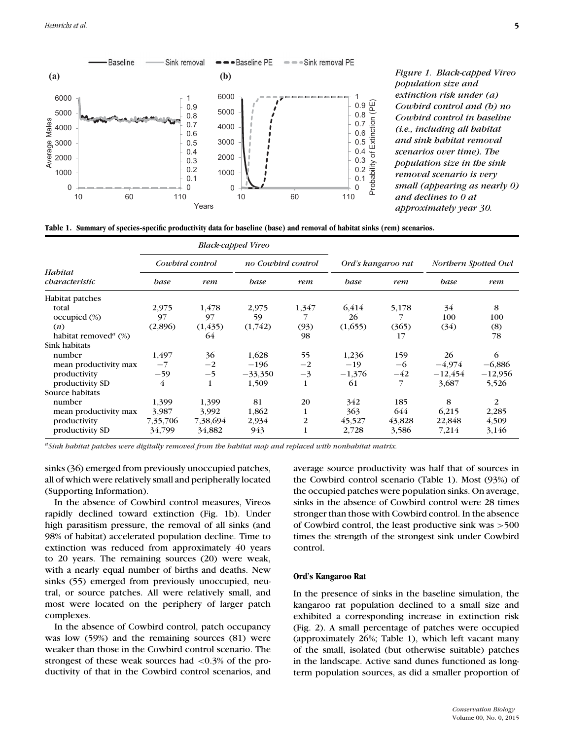

*population size and extinction risk under (a) Cowbird control and (b) no Cowbird control in baseline (i.e., including all habitat and sink habitat removal scenarios over time). The population size in the sink removal scenario is very small (appearing as nearly 0) and declines to 0 at approximately year 30.*

**Table 1. Summary of species-specific productivity data for baseline (base) and removal of habitat sinks (rem) scenarios.**

|                                            |                 |          | <b>Black-capped Vireo</b> |       |                    |        |                      |           |
|--------------------------------------------|-----------------|----------|---------------------------|-------|--------------------|--------|----------------------|-----------|
| Habitat<br>characteristic                  | Cowbird control |          | no Cowbird control        |       | Ord's kangaroo rat |        | Northern Spotted Owl |           |
|                                            | base            | rem      | base                      | rem   | base               | rem    | base                 | rem       |
| Habitat patches                            |                 |          |                           |       |                    |        |                      |           |
| total                                      | 2,975           | 1,478    | 2,975                     | 1,347 | 6,414              | 5,178  | 34                   | 8         |
| $occupied (\%)$                            | 97              | 97       | 59                        |       | 26                 |        | 100                  | 100       |
| (n)                                        | (2,896)         | (1, 435) | (1,742)                   | (93)  | (1,655)            | (365)  | (34)                 | (8)       |
| habitat removed <sup><i>a</i></sup> $(\%)$ |                 | 64       |                           | 98    |                    | 17     |                      | 78        |
| Sink habitats                              |                 |          |                           |       |                    |        |                      |           |
| number                                     | 1,497           | 36       | 1,628                     | 55    | 1,236              | 159    | 26                   | 6         |
| mean productivity max                      | $-7$            | $-2$     | $-196$                    | $-2$  | $-19$              | $-6$   | $-4,974$             | $-6,886$  |
| productivity                               | $-59$           | $-5$     | $-33,350$                 | $-3$  | $-1,376$           | $-42$  | $-12,454$            | $-12,956$ |
| productivity SD                            | 4               | 1        | 1,509                     |       | 61                 | 7      | 3,687                | 5,526     |
| Source habitats                            |                 |          |                           |       |                    |        |                      |           |
| number                                     | 1,399           | 1,399    | 81                        | 20    | 342                | 185    | 8                    | 2         |
| mean productivity max                      | 3.987           | 3,992    | 1,862                     |       | 363                | 644    | 6,215                | 2,285     |
| productivity                               | 7,35,706        | 7,38,694 | 2,934                     | 2     | 45,527             | 43,828 | 22,848               | 4,509     |
| productivity SD                            | 34,799          | 34,882   | 943                       |       | 2,728              | 3,586  | 7,214                | 3,146     |

*aSink habitat patches were digitally removed from the habitat map and replaced with nonhabitat matrix.*

sinks (36) emerged from previously unoccupied patches, all of which were relatively small and peripherally located (Supporting Information).

In the absence of Cowbird control measures, Vireos rapidly declined toward extinction (Fig. 1b). Under high parasitism pressure, the removal of all sinks (and 98% of habitat) accelerated population decline. Time to extinction was reduced from approximately 40 years to 20 years. The remaining sources (20) were weak, with a nearly equal number of births and deaths. New sinks (55) emerged from previously unoccupied, neutral, or source patches. All were relatively small, and most were located on the periphery of larger patch complexes.

In the absence of Cowbird control, patch occupancy was low (59%) and the remaining sources (81) were weaker than those in the Cowbird control scenario. The strongest of these weak sources had *<*0.3% of the productivity of that in the Cowbird control scenarios, and average source productivity was half that of sources in the Cowbird control scenario (Table 1). Most (93%) of the occupied patches were population sinks. On average, sinks in the absence of Cowbird control were 28 times stronger than those with Cowbird control. In the absence of Cowbird control, the least productive sink was *>*500 times the strength of the strongest sink under Cowbird control.

#### **Ord's Kangaroo Rat**

In the presence of sinks in the baseline simulation, the kangaroo rat population declined to a small size and exhibited a corresponding increase in extinction risk (Fig. 2). A small percentage of patches were occupied (approximately 26%; Table 1), which left vacant many of the small, isolated (but otherwise suitable) patches in the landscape. Active sand dunes functioned as longterm population sources, as did a smaller proportion of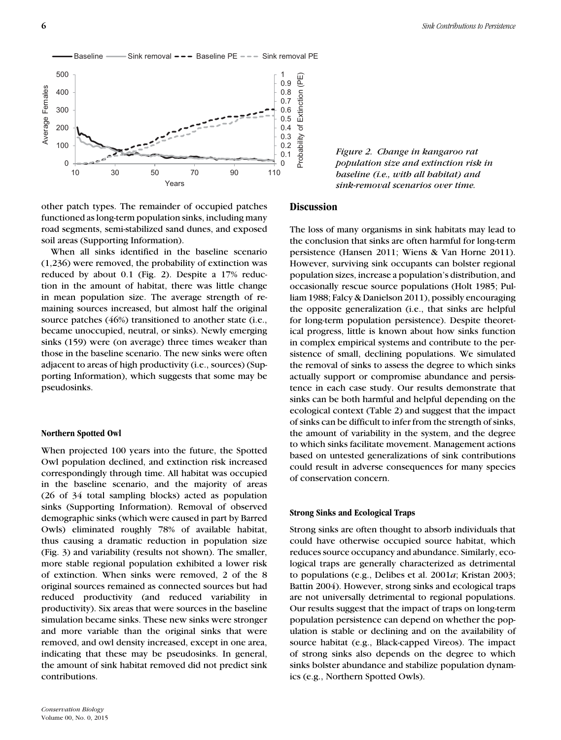

*Figure 2. Change in kangaroo rat population size and extinction risk in baseline (i.e., with all habitat) and sink-removal scenarios over time.*

other patch types. The remainder of occupied patches functioned as long-term population sinks, including many road segments, semi-stabilized sand dunes, and exposed soil areas (Supporting Information).

When all sinks identified in the baseline scenario (1,236) were removed, the probability of extinction was reduced by about 0.1 (Fig. 2). Despite a 17% reduction in the amount of habitat, there was little change in mean population size. The average strength of remaining sources increased, but almost half the original source patches (46%) transitioned to another state (i.e., became unoccupied, neutral, or sinks). Newly emerging sinks (159) were (on average) three times weaker than those in the baseline scenario. The new sinks were often adjacent to areas of high productivity (i.e., sources) (Supporting Information), which suggests that some may be pseudosinks.

# **Northern Spotted Owl**

When projected 100 years into the future, the Spotted Owl population declined, and extinction risk increased correspondingly through time. All habitat was occupied in the baseline scenario, and the majority of areas (26 of 34 total sampling blocks) acted as population sinks (Supporting Information). Removal of observed demographic sinks (which were caused in part by Barred Owls) eliminated roughly 78% of available habitat, thus causing a dramatic reduction in population size (Fig. 3) and variability (results not shown). The smaller, more stable regional population exhibited a lower risk of extinction. When sinks were removed, 2 of the 8 original sources remained as connected sources but had reduced productivity (and reduced variability in productivity). Six areas that were sources in the baseline simulation became sinks. These new sinks were stronger and more variable than the original sinks that were removed, and owl density increased, except in one area, indicating that these may be pseudosinks. In general, the amount of sink habitat removed did not predict sink contributions.

# **Discussion**

The loss of many organisms in sink habitats may lead to the conclusion that sinks are often harmful for long-term persistence (Hansen 2011; Wiens & Van Horne 2011). However, surviving sink occupants can bolster regional population sizes, increase a population's distribution, and occasionally rescue source populations (Holt 1985; Pulliam 1988; Falcy & Danielson 2011), possibly encouraging the opposite generalization (i.e., that sinks are helpful for long-term population persistence). Despite theoretical progress, little is known about how sinks function in complex empirical systems and contribute to the persistence of small, declining populations. We simulated the removal of sinks to assess the degree to which sinks actually support or compromise abundance and persistence in each case study. Our results demonstrate that sinks can be both harmful and helpful depending on the ecological context (Table 2) and suggest that the impact of sinks can be difficult to infer from the strength of sinks, the amount of variability in the system, and the degree to which sinks facilitate movement. Management actions based on untested generalizations of sink contributions could result in adverse consequences for many species of conservation concern.

# **Strong Sinks and Ecological Traps**

Strong sinks are often thought to absorb individuals that could have otherwise occupied source habitat, which reduces source occupancy and abundance. Similarly, ecological traps are generally characterized as detrimental to populations (e.g., Delibes et al. 2001*a*; Kristan 2003; Battin 2004). However, strong sinks and ecological traps are not universally detrimental to regional populations. Our results suggest that the impact of traps on long-term population persistence can depend on whether the population is stable or declining and on the availability of source habitat (e.g., Black-capped Vireos). The impact of strong sinks also depends on the degree to which sinks bolster abundance and stabilize population dynamics (e.g., Northern Spotted Owls).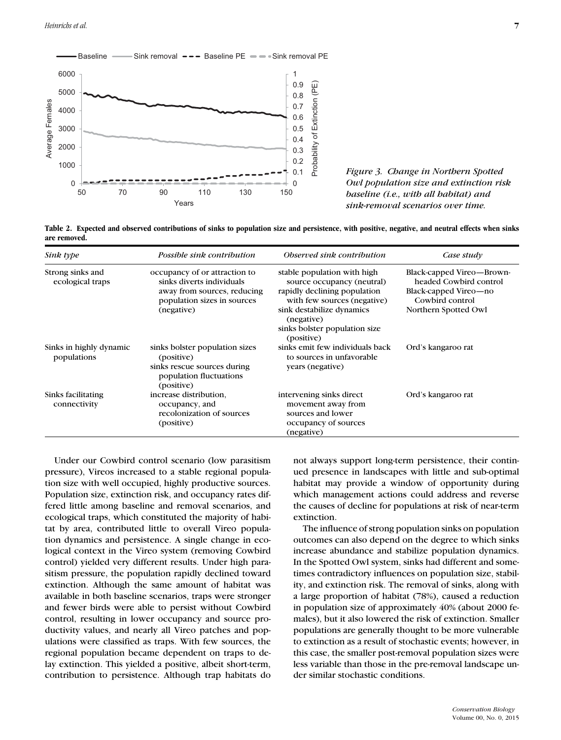

*Figure 3. Change in Northern Spotted Owl population size and extinction risk baseline (i.e., with all habitat) and sink-removal scenarios over time.*

**Table 2. Expected and observed contributions of sinks to population size and persistence, with positive, negative, and neutral effects when sinks are removed.**

| Sink type                              | Possible sink contribution                                                                                                             | Observed sink contribution                                                                                                                                                                                         | Case study                                                                                                              |
|----------------------------------------|----------------------------------------------------------------------------------------------------------------------------------------|--------------------------------------------------------------------------------------------------------------------------------------------------------------------------------------------------------------------|-------------------------------------------------------------------------------------------------------------------------|
| Strong sinks and<br>ecological traps   | occupancy of or attraction to<br>sinks diverts individuals<br>away from sources, reducing<br>population sizes in sources<br>(negative) | stable population with high<br>source occupancy (neutral)<br>rapidly declining population<br>with few sources (negative)<br>sink destabilize dynamics<br>(negative)<br>sinks bolster population size<br>(positive) | Black-capped Vireo-Brown-<br>headed Cowbird control<br>Black-capped Vireo-no<br>Cowbird control<br>Northern Spotted Owl |
| Sinks in highly dynamic<br>populations | sinks bolster population sizes<br>(positive)<br>sinks rescue sources during<br>population fluctuations<br>(positive)                   | sinks emit few individuals back<br>to sources in unfavorable<br>years (negative)                                                                                                                                   | Ord's kangaroo rat                                                                                                      |
| Sinks facilitating<br>connectivity     | increase distribution,<br>occupancy, and<br>recolonization of sources<br>(positive)                                                    | intervening sinks direct<br>movement away from<br>sources and lower<br>occupancy of sources<br>(negative)                                                                                                          | Ord's kangaroo rat                                                                                                      |

Under our Cowbird control scenario (low parasitism pressure), Vireos increased to a stable regional population size with well occupied, highly productive sources. Population size, extinction risk, and occupancy rates differed little among baseline and removal scenarios, and ecological traps, which constituted the majority of habitat by area, contributed little to overall Vireo population dynamics and persistence. A single change in ecological context in the Vireo system (removing Cowbird control) yielded very different results. Under high parasitism pressure, the population rapidly declined toward extinction. Although the same amount of habitat was available in both baseline scenarios, traps were stronger and fewer birds were able to persist without Cowbird control, resulting in lower occupancy and source productivity values, and nearly all Vireo patches and populations were classified as traps. With few sources, the regional population became dependent on traps to delay extinction. This yielded a positive, albeit short-term, contribution to persistence. Although trap habitats do

not always support long-term persistence, their continued presence in landscapes with little and sub-optimal habitat may provide a window of opportunity during which management actions could address and reverse the causes of decline for populations at risk of near-term extinction.

The influence of strong population sinks on population outcomes can also depend on the degree to which sinks increase abundance and stabilize population dynamics. In the Spotted Owl system, sinks had different and sometimes contradictory influences on population size, stability, and extinction risk. The removal of sinks, along with a large proportion of habitat (78%), caused a reduction in population size of approximately 40% (about 2000 females), but it also lowered the risk of extinction. Smaller populations are generally thought to be more vulnerable to extinction as a result of stochastic events; however, in this case, the smaller post-removal population sizes were less variable than those in the pre-removal landscape under similar stochastic conditions.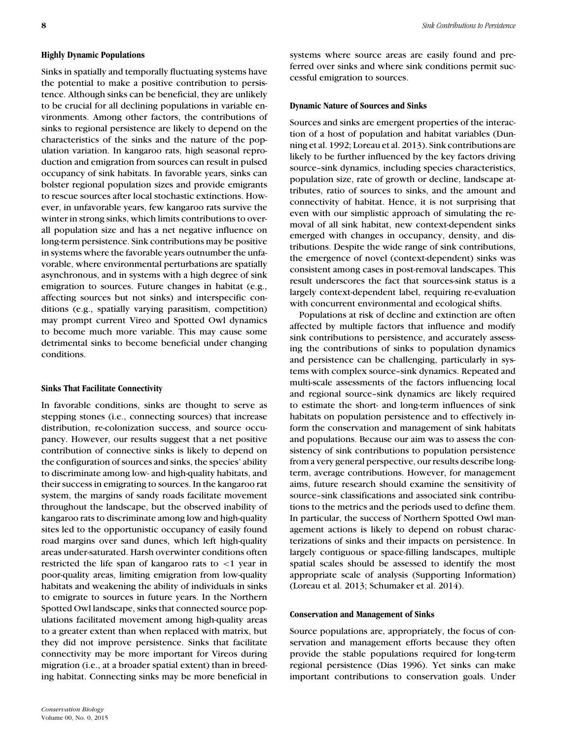## **Highly Dynamic Populations**

Sinks in spatially and temporally fluctuating systems have the potential to make a positive contribution to persistence. Although sinks can be beneficial, they are unlikely to be crucial for all declining populations in variable environments. Among other factors, the contributions of sinks to regional persistence are likely to depend on the characteristics of the sinks and the nature of the population variation. In kangaroo rats, high seasonal reproduction and emigration from sources can result in pulsed occupancy of sink habitats. In favorable years, sinks can bolster regional population sizes and provide emigrants to rescue sources after local stochastic extinctions. However, in unfavorable years, few kangaroo rats survive the winter in strong sinks, which limits contributions to overall population size and has a net negative influence on long-term persistence. Sink contributions may be positive in systems where the favorable years outnumber the unfavorable, where environmental perturbations are spatially asynchronous, and in systems with a high degree of sink emigration to sources. Future changes in habitat (e.g., affecting sources but not sinks) and interspecific conditions (e.g., spatially varying parasitism, competition) may prompt current Vireo and Spotted Owl dynamics to become much more variable. This may cause some detrimental sinks to become beneficial under changing conditions.

# **Sinks That Facilitate Connectivity**

In favorable conditions, sinks are thought to serve as stepping stones (i.e., connecting sources) that increase distribution, re-colonization success, and source occupancy. However, our results suggest that a net positive contribution of connective sinks is likely to depend on the configuration of sources and sinks, the species' ability to discriminate among low- and high-quality habitats, and their success in emigrating to sources. In the kangaroo rat system, the margins of sandy roads facilitate movement throughout the landscape, but the observed inability of kangaroo rats to discriminate among low and high-quality sites led to the opportunistic occupancy of easily found road margins over sand dunes, which left high-quality areas under-saturated. Harsh overwinter conditions often restricted the life span of kangaroo rats to *<*1 year in poor-quality areas, limiting emigration from low-quality habitats and weakening the ability of individuals in sinks to emigrate to sources in future years. In the Northern Spotted Owl landscape, sinks that connected source populations facilitated movement among high-quality areas to a greater extent than when replaced with matrix, but they did not improve persistence. Sinks that facilitate connectivity may be more important for Vireos during migration (i.e., at a broader spatial extent) than in breeding habitat. Connecting sinks may be more beneficial in

systems where source areas are easily found and preferred over sinks and where sink conditions permit successful emigration to sources.

#### **Dynamic Nature of Sources and Sinks**

Sources and sinks are emergent properties of the interaction of a host of population and habitat variables (Dunning et al. 1992; Loreau et al. 2013). Sink contributions are likely to be further influenced by the key factors driving source–sink dynamics, including species characteristics, population size, rate of growth or decline, landscape attributes, ratio of sources to sinks, and the amount and connectivity of habitat. Hence, it is not surprising that even with our simplistic approach of simulating the removal of all sink habitat, new context-dependent sinks emerged with changes in occupancy, density, and distributions. Despite the wide range of sink contributions, the emergence of novel (context-dependent) sinks was consistent among cases in post-removal landscapes. This result underscores the fact that sources-sink status is a largely context-dependent label, requiring re-evaluation with concurrent environmental and ecological shifts.

Populations at risk of decline and extinction are often affected by multiple factors that influence and modify sink contributions to persistence, and accurately assessing the contributions of sinks to population dynamics and persistence can be challenging, particularly in systems with complex source–sink dynamics. Repeated and multi-scale assessments of the factors influencing local and regional source–sink dynamics are likely required to estimate the short- and long-term influences of sink habitats on population persistence and to effectively inform the conservation and management of sink habitats and populations. Because our aim was to assess the consistency of sink contributions to population persistence from a very general perspective, our results describe longterm, average contributions. However, for management aims, future research should examine the sensitivity of source–sink classifications and associated sink contributions to the metrics and the periods used to define them. In particular, the success of Northern Spotted Owl management actions is likely to depend on robust characterizations of sinks and their impacts on persistence. In largely contiguous or space-filling landscapes, multiple spatial scales should be assessed to identify the most appropriate scale of analysis (Supporting Information) (Loreau et al. 2013; Schumaker et al. 2014).

#### **Conservation and Management of Sinks**

Source populations are, appropriately, the focus of conservation and management efforts because they often provide the stable populations required for long-term regional persistence (Dias 1996). Yet sinks can make important contributions to conservation goals. Under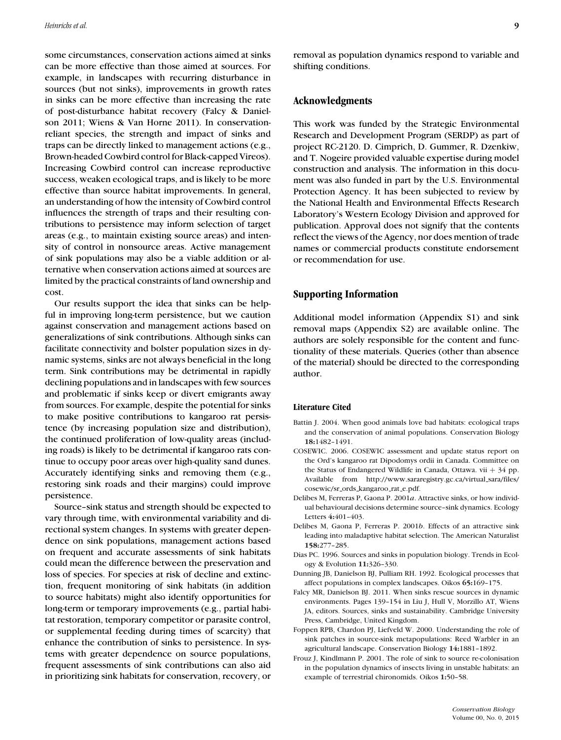some circumstances, conservation actions aimed at sinks can be more effective than those aimed at sources. For example, in landscapes with recurring disturbance in sources (but not sinks), improvements in growth rates in sinks can be more effective than increasing the rate of post-disturbance habitat recovery (Falcy & Danielson 2011; Wiens & Van Horne 2011). In conservationreliant species, the strength and impact of sinks and traps can be directly linked to management actions (e.g., Brown-headed Cowbird control for Black-capped Vireos). Increasing Cowbird control can increase reproductive success, weaken ecological traps, and is likely to be more effective than source habitat improvements. In general, an understanding of how the intensity of Cowbird control influences the strength of traps and their resulting contributions to persistence may inform selection of target areas (e.g., to maintain existing source areas) and intensity of control in nonsource areas. Active management of sink populations may also be a viable addition or alternative when conservation actions aimed at sources are limited by the practical constraints of land ownership and cost.

Our results support the idea that sinks can be helpful in improving long-term persistence, but we caution against conservation and management actions based on generalizations of sink contributions. Although sinks can facilitate connectivity and bolster population sizes in dynamic systems, sinks are not always beneficial in the long term. Sink contributions may be detrimental in rapidly declining populations and in landscapes with few sources and problematic if sinks keep or divert emigrants away from sources. For example, despite the potential for sinks to make positive contributions to kangaroo rat persistence (by increasing population size and distribution), the continued proliferation of low-quality areas (including roads) is likely to be detrimental if kangaroo rats continue to occupy poor areas over high-quality sand dunes. Accurately identifying sinks and removing them (e.g., restoring sink roads and their margins) could improve persistence.

Source–sink status and strength should be expected to vary through time, with environmental variability and directional system changes. In systems with greater dependence on sink populations, management actions based on frequent and accurate assessments of sink habitats could mean the difference between the preservation and loss of species. For species at risk of decline and extinction, frequent monitoring of sink habitats (in addition to source habitats) might also identify opportunities for long-term or temporary improvements (e.g., partial habitat restoration, temporary competitor or parasite control, or supplemental feeding during times of scarcity) that enhance the contribution of sinks to persistence. In systems with greater dependence on source populations, frequent assessments of sink contributions can also aid in prioritizing sink habitats for conservation, recovery, or

# **Acknowledgments**

This work was funded by the Strategic Environmental Research and Development Program (SERDP) as part of project RC-2120. D. Cimprich, D. Gummer, R. Dzenkiw, and T. Nogeire provided valuable expertise during model construction and analysis. The information in this document was also funded in part by the U.S. Environmental Protection Agency. It has been subjected to review by the National Health and Environmental Effects Research Laboratory's Western Ecology Division and approved for publication. Approval does not signify that the contents reflect the views of the Agency, nor does mention of trade names or commercial products constitute endorsement or recommendation for use.

# **Supporting Information**

Additional model information (Appendix S1) and sink removal maps (Appendix S2) are available online. The authors are solely responsible for the content and functionality of these materials. Queries (other than absence of the material) should be directed to the corresponding author.

# **Literature Cited**

- Battin J. 2004. When good animals love bad habitats: ecological traps and the conservation of animal populations. Conservation Biology **18:**1482–1491.
- COSEWIC. 2006. COSEWIC assessment and update status report on the Ord's kangaroo rat Dipodomys ordii in Canada. Committee on the Status of Endangered Wildlife in Canada, Ottawa. vii + 34 pp. Available from http://www.sararegistry.gc.ca/virtual sara/files/ cosewic/sr\_ords\_kangaroo\_rat\_e.pdf.
- Delibes M, Ferreras P, Gaona P. 2001*a*. Attractive sinks, or how individual behavioural decisions determine source–sink dynamics. Ecology Letters **4:**401–403.
- Delibes M, Gaona P, Ferreras P. 2001*b*. Effects of an attractive sink leading into maladaptive habitat selection. The American Naturalist **158:**277–285.
- Dias PC. 1996. Sources and sinks in population biology. Trends in Ecology & Evolution **11:**326–330.
- Dunning JB, Danielson BJ, Pulliam RH. 1992. Ecological processes that affect populations in complex landscapes. Oikos **65:**169–175.
- Falcy MR, Danielson BJ. 2011. When sinks rescue sources in dynamic environments. Pages 139–154 in Liu J, Hull V, Morzillo AT, Wiens JA, editors. Sources, sinks and sustainability. Cambridge University Press, Cambridge, United Kingdom.
- Foppen RPB, Chardon PJ, Liefveld W. 2000. Understanding the role of sink patches in source-sink metapopulations: Reed Warbler in an agricultural landscape. Conservation Biology **14:**1881–1892.
- Frouz J, Kindlmann P. 2001. The role of sink to source re-colonisation in the population dynamics of insects living in unstable habitats: an example of terrestrial chironomids. Oikos **1:**50–58.